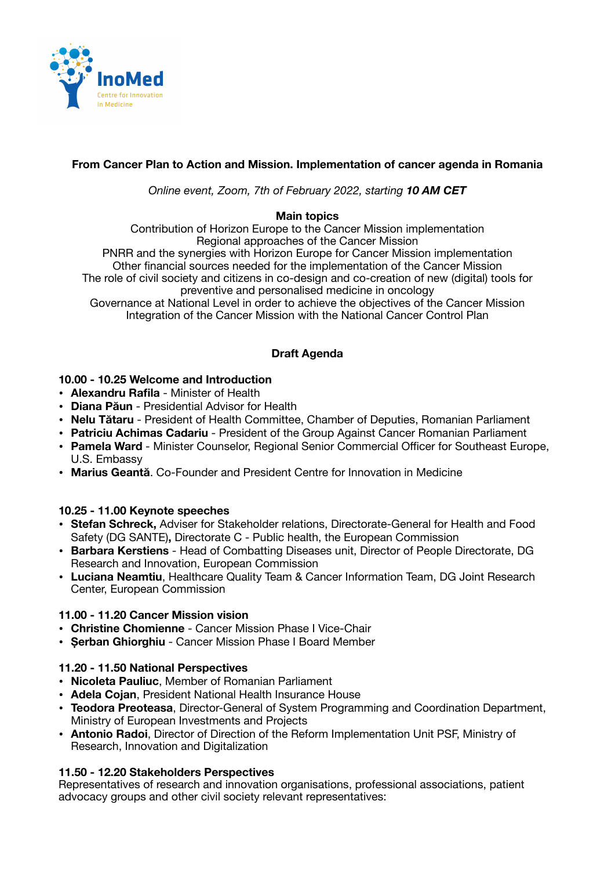

# **From Cancer Plan to Action and Mission. Implementation of cancer agenda in Romania**

*Online event, Zoom, 7th of February 2022, starting 10 AM CET* 

### **Main topics**

Contribution of Horizon Europe to the Cancer Mission implementation Regional approaches of the Cancer Mission PNRR and the synergies with Horizon Europe for Cancer Mission implementation Other financial sources needed for the implementation of the Cancer Mission The role of civil society and citizens in co-design and co-creation of new (digital) tools for preventive and personalised medicine in oncology

Governance at National Level in order to achieve the objectives of the Cancer Mission Integration of the Cancer Mission with the National Cancer Control Plan

## **Draft Agenda**

### **10.00 - 10.25 Welcome and Introduction**

- **Alexandru Rafila** Minister of Health
- **Diana Păun** Presidential Advisor for Health
- **Nelu Tătaru** President of Health Committee, Chamber of Deputies, Romanian Parliament
- **Patriciu Achimas Cadariu** President of the Group Against Cancer Romanian Parliament
- **Pamela Ward** Minister Counselor, Regional Senior Commercial Officer for Southeast Europe, U.S. Embassy
- **Marius Geantă**. Co-Founder and President Centre for Innovation in Medicine

### **10.25 - 11.00 Keynote speeches**

- **Stefan Schreck,** Adviser for Stakeholder relations, Directorate-General for Health and Food Safety (DG SANTE)**,** Directorate C - Public health, the European Commission
- **Barbara Kerstiens** Head of Combatting Diseases unit, Director of People Directorate, DG Research and Innovation, European Commission
- **Luciana Neamtiu**, Healthcare Quality Team & Cancer Information Team, DG Joint Research Center, European Commission

### **11.00 - 11.20 Cancer Mission vision**

- **Christine Chomienne** Cancer Mission Phase I Vice-Chair
- **Șerban Ghiorghiu** Cancer Mission Phase I Board Member

### **11.20 - 11.50 National Perspectives**

- **Nicoleta Pauliuc**, Member of Romanian Parliament
- **Adela Cojan**, President National Health Insurance House
- **Teodora Preoteasa**, Director-General of System Programming and Coordination Department, Ministry of European Investments and Projects
- **Antonio Radoi**, Director of Direction of the Reform Implementation Unit PSF, Ministry of Research, Innovation and Digitalization

### **11.50 - 12.20 Stakeholders Perspectives**

Representatives of research and innovation organisations, professional associations, patient advocacy groups and other civil society relevant representatives: